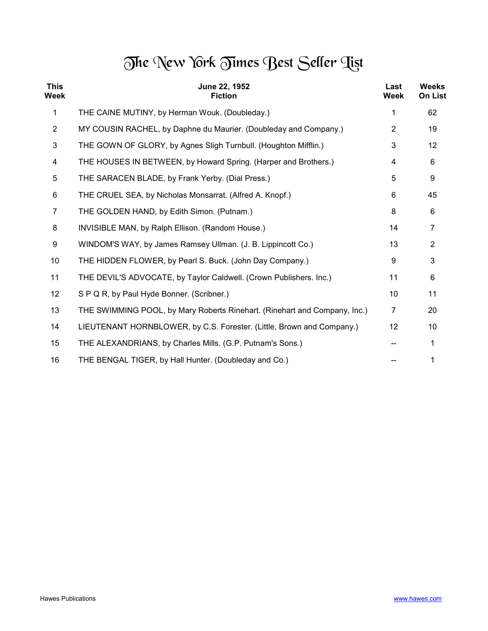## The New York Times Best Seller Tist

| <b>This</b><br>Week | June 22, 1952<br><b>Fiction</b>                                           | Last<br>Week   | <b>Weeks</b><br><b>On List</b> |
|---------------------|---------------------------------------------------------------------------|----------------|--------------------------------|
| $\mathbf 1$         | THE CAINE MUTINY, by Herman Wouk. (Doubleday.)                            | 1              | 62                             |
| $\overline{2}$      | MY COUSIN RACHEL, by Daphne du Maurier. (Doubleday and Company.)          | $\overline{2}$ | 19                             |
| 3                   | THE GOWN OF GLORY, by Agnes Sligh Turnbull. (Houghton Mifflin.)           | 3              | 12                             |
| 4                   | THE HOUSES IN BETWEEN, by Howard Spring. (Harper and Brothers.)           | 4              | 6                              |
| 5                   | THE SARACEN BLADE, by Frank Yerby. (Dial Press.)                          | 5              | 9                              |
| 6                   | THE CRUEL SEA, by Nicholas Monsarrat. (Alfred A. Knopf.)                  | 6              | 45                             |
| $\overline{7}$      | THE GOLDEN HAND, by Edith Simon. (Putnam.)                                | 8              | 6                              |
| 8                   | INVISIBLE MAN, by Ralph Ellison. (Random House.)                          | 14             | $\overline{7}$                 |
| 9                   | WINDOM'S WAY, by James Ramsey Ullman. (J. B. Lippincott Co.)              | 13             | $\overline{2}$                 |
| 10                  | THE HIDDEN FLOWER, by Pearl S. Buck. (John Day Company.)                  | 9              | 3                              |
| 11                  | THE DEVIL'S ADVOCATE, by Taylor Caldwell. (Crown Publishers. Inc.)        | 11             | 6                              |
| 12                  | S P Q R, by Paul Hyde Bonner. (Scribner.)                                 | 10             | 11                             |
| 13                  | THE SWIMMING POOL, by Mary Roberts Rinehart. (Rinehart and Company, Inc.) | $\overline{7}$ | 20                             |
| 14                  | LIEUTENANT HORNBLOWER, by C.S. Forester. (Little, Brown and Company.)     | 12             | 10                             |
| 15                  | THE ALEXANDRIANS, by Charles Mills. (G.P. Putnam's Sons.)                 |                | 1                              |
| 16                  | THE BENGAL TIGER, by Hall Hunter. (Doubleday and Co.)                     |                |                                |
|                     |                                                                           |                |                                |